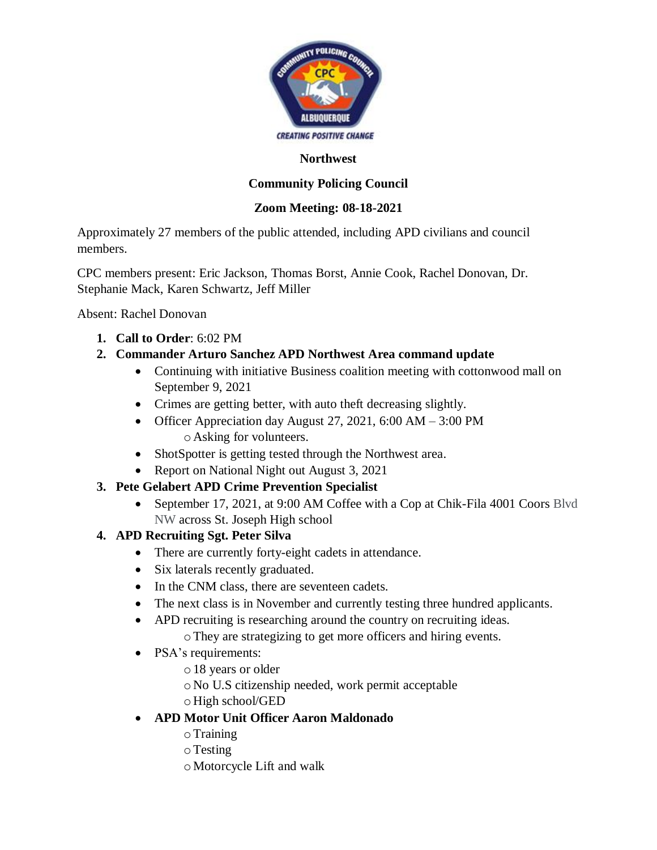

#### **Northwest**

# **Community Policing Council**

### **Zoom Meeting: 08-18-2021**

Approximately 27 members of the public attended, including APD civilians and council members.

CPC members present: Eric Jackson, Thomas Borst, Annie Cook, Rachel Donovan, Dr. Stephanie Mack, Karen Schwartz, Jeff Miller

Absent: Rachel Donovan

**1. Call to Order**: 6:02 PM

## **2. Commander Arturo Sanchez APD Northwest Area command update**

- Continuing with initiative Business coalition meeting with cottonwood mall on September 9, 2021
- Crimes are getting better, with auto theft decreasing slightly.
- Officer Appreciation day August 27, 2021, 6:00 AM  $-$  3:00 PM oAsking for volunteers.
- ShotSpotter is getting tested through the Northwest area.
- Report on National Night out August 3, 2021
- **3. Pete Gelabert APD Crime Prevention Specialist** 
	- September 17, 2021, at 9:00 AM Coffee with a Cop at Chik-Fila 4001 Coors Blvd NW across St. Joseph High school

## **4. APD Recruiting Sgt. Peter Silva**

- There are currently forty-eight cadets in attendance.
- Six laterals recently graduated.
- In the CNM class, there are seventeen cadets.
- The next class is in November and currently testing three hundred applicants.
- APD recruiting is researching around the country on recruiting ideas. oThey are strategizing to get more officers and hiring events.
- PSA's requirements:
	- o18 years or older
	- oNo U.S citizenship needed, work permit acceptable
	- oHigh school/GED
- **APD Motor Unit Officer Aaron Maldonado** 
	- $\circ$  Training
	- oTesting
	- oMotorcycle Lift and walk